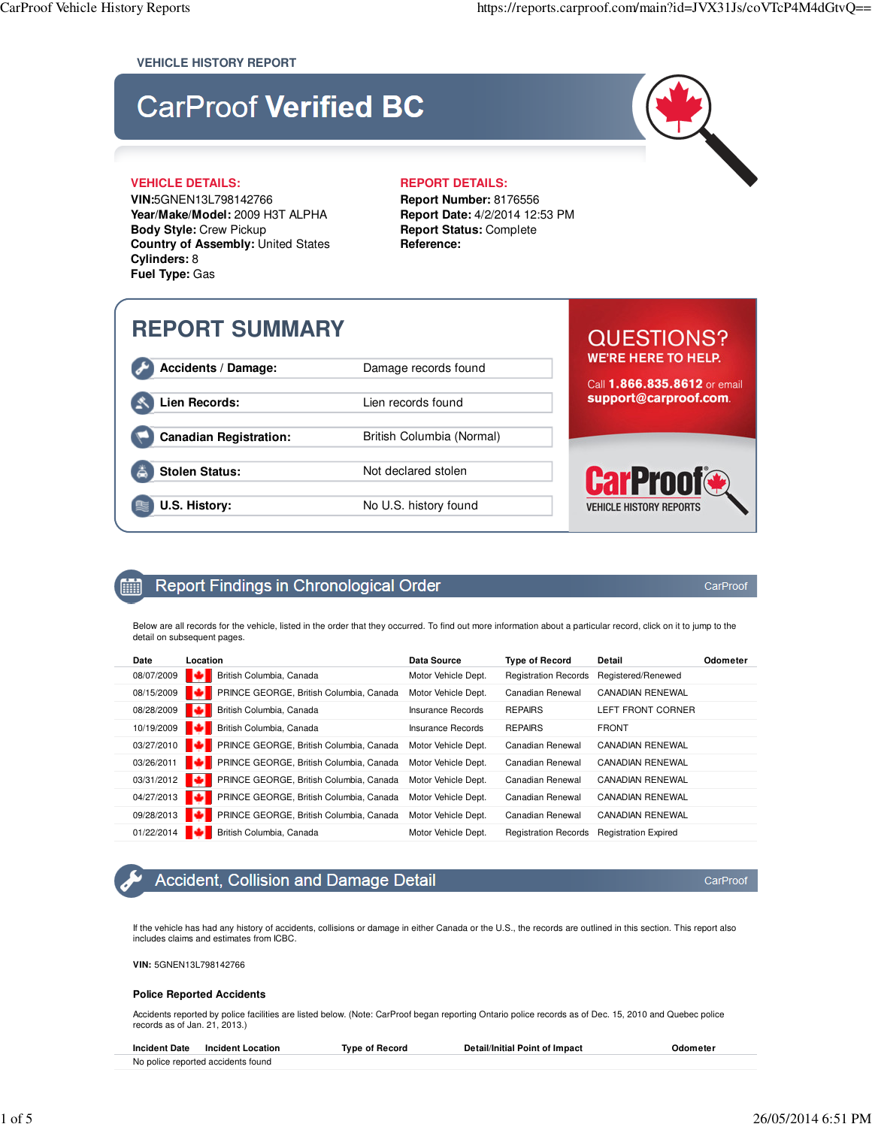#### **VEHICLE HISTORY REPORT**

## **CarProof Verified BC**

**VIN:**5GNEN13L798142766 **Year/Make/Model:** 2009 H3T ALPHA **Body Style:** Crew Pickup **Country of Assembly:** United States **Cylinders:** 8 **Fuel Type:** Gas

#### **VEHICLE DETAILS: REPORT DETAILS:**

**Report Number:** 8176556 **Report Date:** 4/2/2014 12:53 PM **Report Status:** Complete **Reference:**

## **REPORT SUMMARY**

**Accidents / Damage:** Damage records found

Lien Records: Lien records found

Canadian Registration: **British Columbia (Normal)** 

**Stolen Status:** Not declared stolen

**U.S. History:** No U.S. history found

## **QUESTIONS? WE'RE HERE TO HELP.**

Call 1.866.835.8612 or email support@carproof.com.

# **VEHICLE HISTORY REPORTS**

#### Report Findings in Chronological Order m

Below are all records for the vehicle, listed in the order that they occurred. To find out more information about a particular record, click on it to jump to the detail on subsequent pages.

| Date       | Location                                       | <b>Data Source</b>       | <b>Type of Record</b>       | Detail                      | Odometer |
|------------|------------------------------------------------|--------------------------|-----------------------------|-----------------------------|----------|
| 08/07/2009 | British Columbia, Canada                       | Motor Vehicle Dept.      | <b>Registration Records</b> | Registered/Renewed          |          |
| 08/15/2009 | <b>PRINCE GEORGE, British Columbia, Canada</b> | Motor Vehicle Dept.      | Canadian Renewal            | <b>CANADIAN RENEWAL</b>     |          |
| 08/28/2009 | British Columbia, Canada                       | <b>Insurance Records</b> | <b>REPAIRS</b>              | LEFT FRONT CORNER           |          |
| 10/19/2009 | British Columbia, Canada                       | <b>Insurance Records</b> | <b>REPAIRS</b>              | <b>FRONT</b>                |          |
| 03/27/2010 | <b>PRINCE GEORGE, British Columbia, Canada</b> | Motor Vehicle Dept.      | Canadian Renewal            | <b>CANADIAN RENEWAL</b>     |          |
| 03/26/2011 | PRINCE GEORGE, British Columbia, Canada        | Motor Vehicle Dept.      | Canadian Renewal            | <b>CANADIAN RENEWAL</b>     |          |
| 03/31/2012 | PRINCE GEORGE, British Columbia, Canada        | Motor Vehicle Dept.      | Canadian Renewal            | <b>CANADIAN RENEWAL</b>     |          |
| 04/27/2013 | PRINCE GEORGE, British Columbia, Canada        | Motor Vehicle Dept.      | Canadian Renewal            | <b>CANADIAN RENEWAL</b>     |          |
| 09/28/2013 | PRINCE GEORGE, British Columbia, Canada        | Motor Vehicle Dept.      | Canadian Renewal            | <b>CANADIAN RENEWAL</b>     |          |
| 01/22/2014 | British Columbia, Canada                       | Motor Vehicle Dept.      | <b>Registration Records</b> | <b>Registration Expired</b> |          |

## **Accident, Collision and Damage Detail**

If the vehicle has had any history of accidents, collisions or damage in either Canada or the U.S., the records are outlined in this section. This report also includes claims and estimates from ICBC.

**VIN:** 5GNEN13L798142766

#### **Police Reported Accidents**

Accidents reported by police facilities are listed below. (Note: CarProof began reporting Ontario police records as of Dec. 15, 2010 and Quebec police records as of Jan. 21, 2013.)

| <b>Incident Date</b> | <b>Incident Location</b>           | Tvpe of Record | <b>Detail/Initial Point of Impact</b> | Odometer |
|----------------------|------------------------------------|----------------|---------------------------------------|----------|
|                      | No police reported accidents found |                |                                       |          |

CarProof

CarProof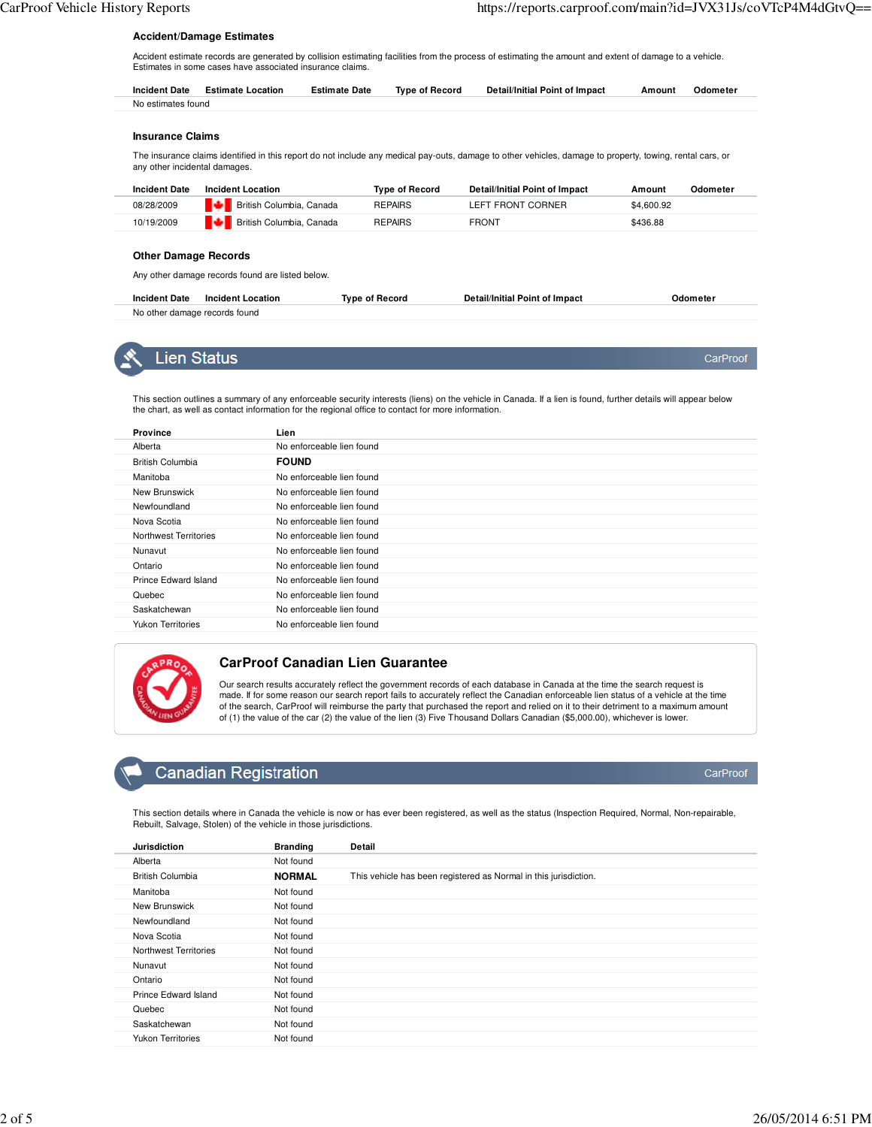#### **Accident/Damage Estimates**

Accident estimate records are generated by collision estimating facilities from the process of estimating the amount and extent of damage to a vehicle. Estimates in some cases have associated insurance claims.

|                    | Incident Date Estimate Location | <b>Estimate Date</b> | Type of Record | Detail/Initial Point of Impact | Amount | Odometer |
|--------------------|---------------------------------|----------------------|----------------|--------------------------------|--------|----------|
| No estimates found |                                 |                      |                |                                |        |          |

#### **Insurance Claims**

The insurance claims identified in this report do not include any medical pay-outs, damage to other vehicles, damage to property, towing, rental cars, or any other incidental damages.

| <b>Incident Date</b> | Incident Location               | <b>Type of Record</b> | Detail/Initial Point of Impact | Odometer<br>Amount |  |
|----------------------|---------------------------------|-----------------------|--------------------------------|--------------------|--|
| 08/28/2009           | <b>British Columbia, Canada</b> | <b>REPAIRS</b>        | LEFT FRONT CORNER              | \$4,600.92         |  |
| 10/19/2009           | <b>British Columbia, Canada</b> | <b>REPAIRS</b>        | <b>FRONT</b>                   | \$436.88           |  |

#### **Other Damage Records**

Any other damage records found are listed below.

| <b>Incident Date</b><br><b>Incident Location</b> | Tvpe of Record | <b>Detail/Initial Point of Impact</b> | Jdometer |
|--------------------------------------------------|----------------|---------------------------------------|----------|
| No other damage records found                    |                |                                       |          |



This section outlines a summary of any enforceable security interests (liens) on the vehicle in Canada. If a lien is found, further details will appear below the chart, as well as contact information for the regional office to contact for more information.

| <b>Province</b>          | Lien                      |
|--------------------------|---------------------------|
| Alberta                  | No enforceable lien found |
| <b>British Columbia</b>  | <b>FOUND</b>              |
| Manitoba                 | No enforceable lien found |
| New Brunswick            | No enforceable lien found |
| Newfoundland             | No enforceable lien found |
| Nova Scotia              | No enforceable lien found |
| Northwest Territories    | No enforceable lien found |
| Nunavut                  | No enforceable lien found |
| Ontario                  | No enforceable lien found |
| Prince Edward Island     | No enforceable lien found |
| Quebec                   | No enforceable lien found |
| Saskatchewan             | No enforceable lien found |
| <b>Yukon Territories</b> | No enforceable lien found |



#### **CarProof Canadian Lien Guarantee**

Our search results accurately reflect the government records of each database in Canada at the time the search request is made. If for some reason our search report fails to accurately reflect the Canadian enforceable lien status of a vehicle at the time of the search, CarProof will reimburse the party that purchased the report and relied on it to their detriment to a maximum amount of (1) the value of the car (2) the value of the lien (3) Five Thousand Dollars Canadian (\$5,000.00), whichever is lower.

## **Canadian Registration**

This section details where in Canada the vehicle is now or has ever been registered, as well as the status (Inspection Required, Normal, Non-repairable, Rebuilt, Salvage, Stolen) of the vehicle in those jurisdictions.

| <b>Jurisdiction</b>      | <b>Branding</b> | Detail                                                           |
|--------------------------|-----------------|------------------------------------------------------------------|
| Alberta                  | Not found       |                                                                  |
| <b>British Columbia</b>  | <b>NORMAL</b>   | This vehicle has been registered as Normal in this jurisdiction. |
| Manitoba                 | Not found       |                                                                  |
| New Brunswick            | Not found       |                                                                  |
| Newfoundland             | Not found       |                                                                  |
| Nova Scotia              | Not found       |                                                                  |
| Northwest Territories    | Not found       |                                                                  |
| Nunavut                  | Not found       |                                                                  |
| Ontario                  | Not found       |                                                                  |
| Prince Edward Island     | Not found       |                                                                  |
| Quebec                   | Not found       |                                                                  |
| Saskatchewan             | Not found       |                                                                  |
| <b>Yukon Territories</b> | Not found       |                                                                  |

CarProof

CarProof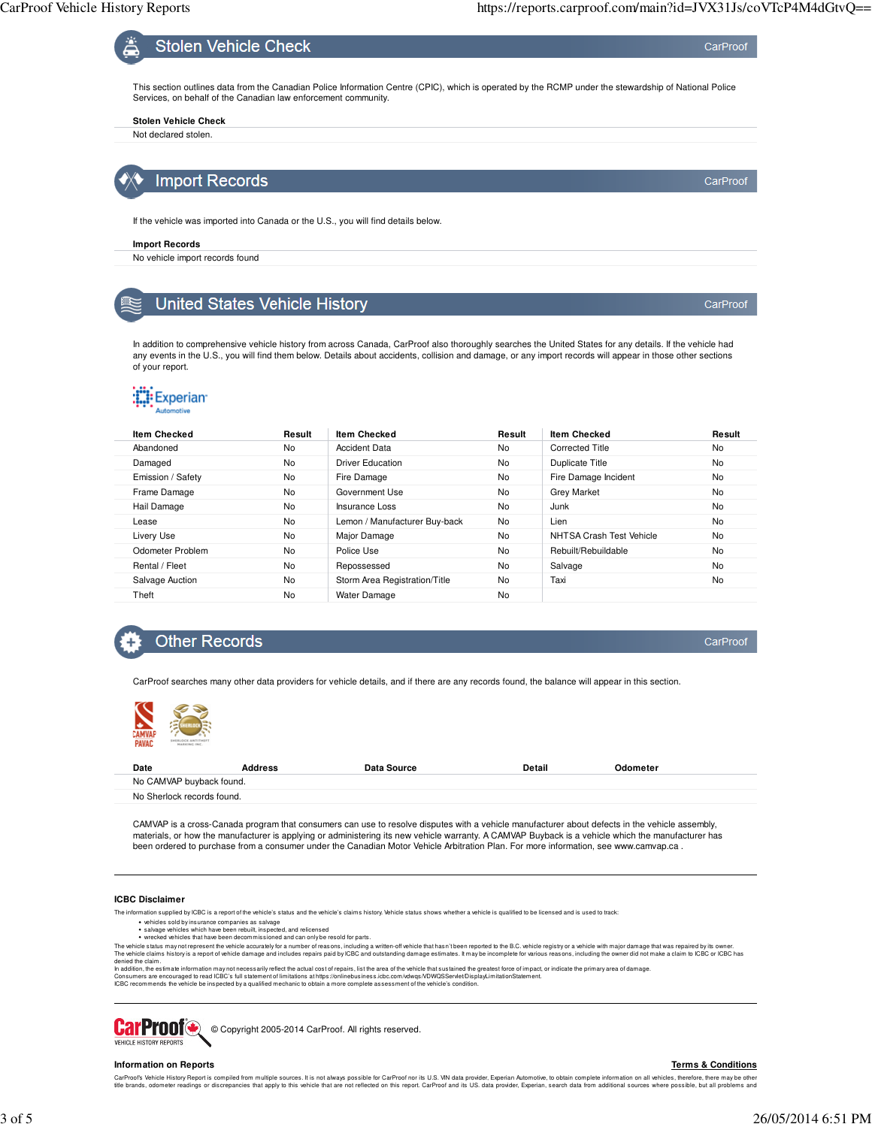CarProof

CarProof



**Import Records** 

If the vehicle was imported into Canada or the U.S., you will find details below.

#### **Import Records**

No vehicle import records found

## **United States Vehicle History**

In addition to comprehensive vehicle history from across Canada, CarProof also thoroughly searches the United States for any details. If the vehicle had any events in the U.S., you will find them below. Details about accidents, collision and damage, or any import records will appear in those other sections of your report.

## **Experian**

| <b>Item Checked</b> | Result | <b>Item Checked</b>           | Result | <b>Item Checked</b>      | Result    |
|---------------------|--------|-------------------------------|--------|--------------------------|-----------|
| Abandoned           | No     | <b>Accident Data</b>          | No     | <b>Corrected Title</b>   | <b>No</b> |
| Damaged             | No     | <b>Driver Education</b>       | No     | Duplicate Title          | <b>No</b> |
| Emission / Safety   | No     | Fire Damage                   | No     | Fire Damage Incident     | <b>No</b> |
| Frame Damage        | No     | Government Use                | No     | <b>Grey Market</b>       | <b>No</b> |
| Hail Damage         | No     | Insurance Loss                | No     | Junk                     | <b>No</b> |
| Lease               | No     | Lemon / Manufacturer Buy-back | No     | Lien                     | No        |
| Livery Use          | No     | Major Damage                  | No     | NHTSA Crash Test Vehicle | <b>No</b> |
| Odometer Problem    | No     | Police Use                    | No     | Rebuilt/Rebuildable      | <b>No</b> |
| Rental / Fleet      | No     | Repossessed                   | No     | Salvage                  | <b>No</b> |
| Salvage Auction     | No     | Storm Area Registration/Title | No     | Taxi                     | <b>No</b> |
| Theft               | No     | Water Damage                  | No     |                          |           |

## **Other Records**

CarProof

CarProof searches many other data providers for vehicle details, and if there are any records found, the balance will appear in this section.



| Date                       | <b>Address</b> | Data Source | Detail | Odometer |  |
|----------------------------|----------------|-------------|--------|----------|--|
| No CAMVAP buyback found.   |                |             |        |          |  |
| No Sherlock records found. |                |             |        |          |  |

CAMVAP is a cross-Canada program that consumers can use to resolve disputes with a vehicle manufacturer about defects in the vehicle assembly, materials, or how the manufacturer is applying or administering its new vehicle warranty. A CAMVAP Buyback is a vehicle which the manufacturer has<br>been ordered to purchase from a consumer under the Canadian Motor Vehicle A

#### **ICBC Disclaimer**

The information supplied by ICBC is a report of the vehicle's status and the vehicle's claims history. Vehicle status shows whether a vehicle is qualified to be licensed and is used to track:

- 
- vehicles sold by insurance companies as salvage<br>salvage vehicles which have been rebuilt, inspected, and relicensed<br>wrecked vehicles that have been decommissioned and can only be resold for parts.

The whicle status may not represent the whicle accurately for a number of reasons, including a written-off whicle that hasn't been reported to he B.C. vehicle claims history is a report of whicle damage and includes repair

### **CarProof** © Copyright 2005-2014 CarProof. All rights reserved. VEHICLE HISTORY REPORTS

#### **Information on Reports**

#### **Terms & Conditions**

CarProofs Vehide History Report is complied form multiple sources. It is not always possible for CarProof nor its U.S. VIN data provider, Experian Automotive, to obtain complete information all whicles, there may be obtain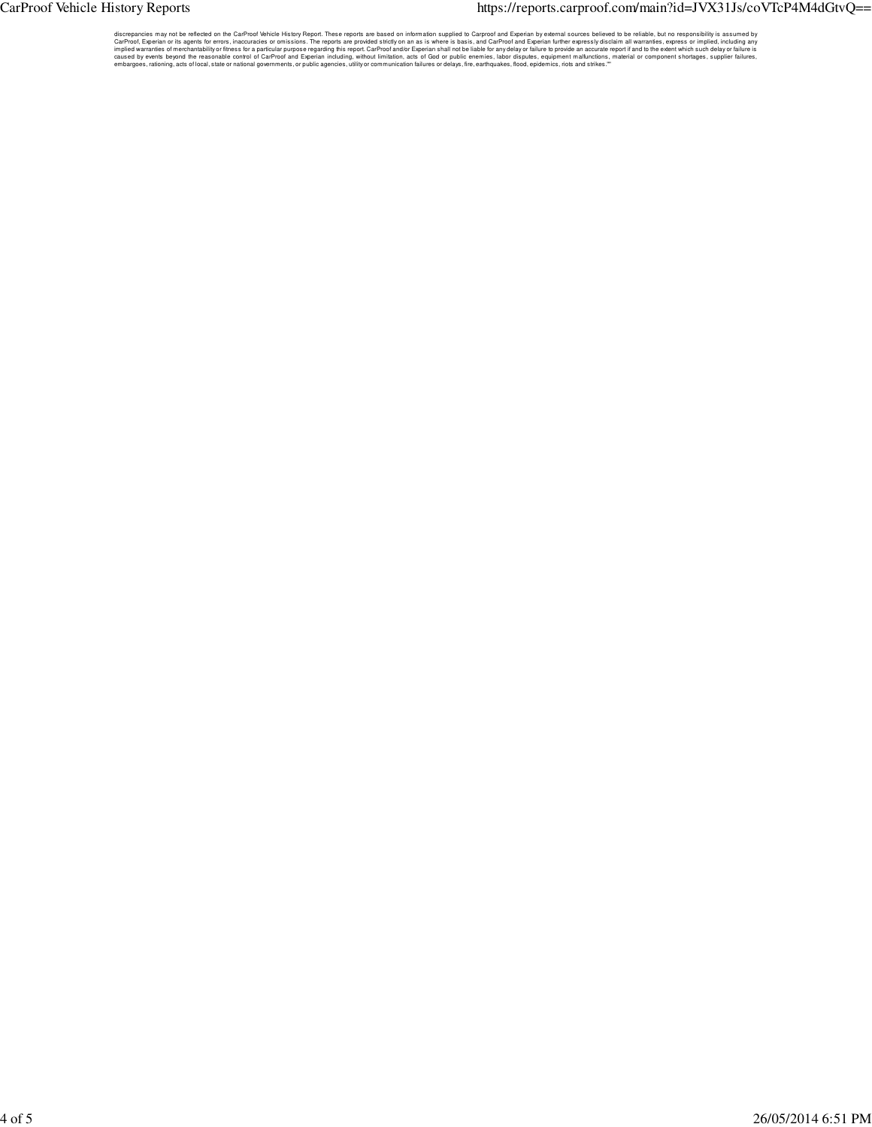### CarProof Vehicle History Reports extends the proof of the https://reports.carproof.com/main?id=JVX31Js/coVTcP4M4dGtvQ==

discrepancies may not be reflected on the CarProof Vehicle History Report. These reports are based on information supplied to Carproof and Experian further expressly disclaim all warranties, or press or implied, including